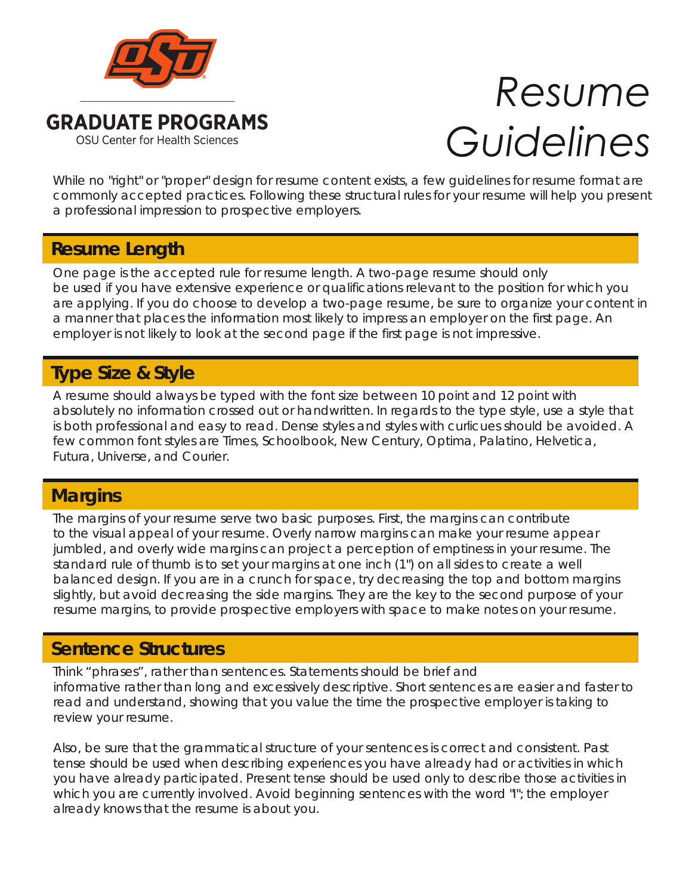

# *Resume Guidelines*

While no "right" or "proper" design for resume content exists, a few guidelines for resume format are commonly accepted practices. Following these structural rules for your resume will help you present a professional impression to prospective employers.

## **Resume Length Resume Length**

One page is the accepted rule for resume length. A two-page resume should only be used if you have extensive experience or qualifications relevant to the position for which you are applying. If you do choose to develop a two-page resume, be sure to organize your content in a manner that places the information most likely to impress an employer on the first page. An employer is not likely to look at the second page if the first page is not impressive.

# **Type Size & Style**

A resume should always be typed with the font size between 10 point and 12 point with absolutely no information crossed out or handwritten. In regards to the type style, use a style that is both professional and easy to read. Dense styles and styles with curlicues should be avoided. A few common font styles are Times, Schoolbook, New Century, Optima, Palatino, Helvetica, Futura, Universe, and Courier.

### **Margins Margins**

The margins of your resume serve two basic purposes. First, the margins can contribute to the visual appeal of your resume. Overly narrow margins can make your resume appear jumbled, and overly wide margins can project a perception of emptiness in your resume. The standard rule of thumb is to set your margins at one inch (1") on all sides to create a well balanced design. If you are in a crunch for space, try decreasing the top and bottom margins slightly, but avoid decreasing the side margins. They are the key to the second purpose of your resume margins, to provide prospective employers with space to make notes on your resume.

#### **Sentence Structures Sentence Structures**

Think "phrases", rather than sentences. Statements should be brief and informative rather than long and excessively descriptive. Short sentences are easier and faster to read and understand, showing that you value the time the prospective employer is taking to review your resume.

Also, be sure that the grammatical structure of your sentences is correct and consistent. Past tense should be used when describing experiences you have already had or activities in which you have already participated. Present tense should be used only to describe those activities in which you are currently involved. Avoid beginning sentences with the word "I"; the employer already knows that the resume is about you.